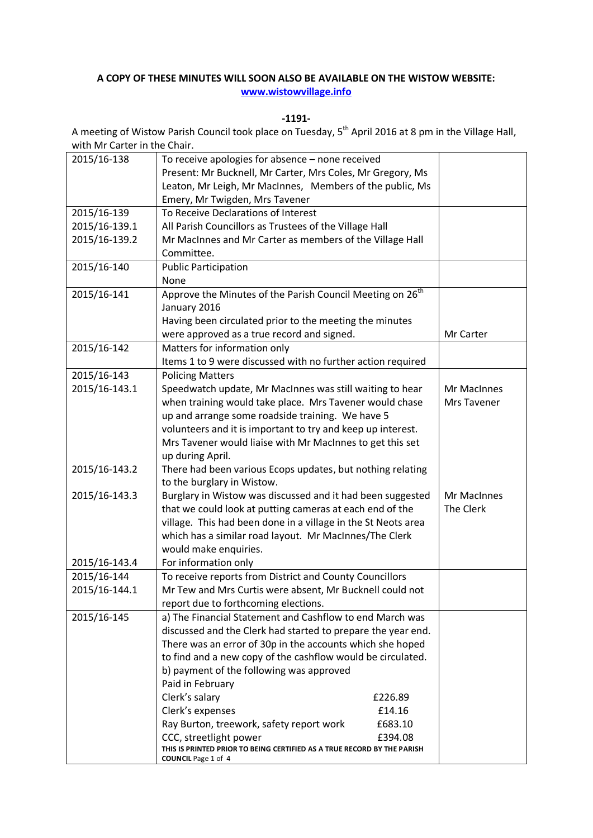## **A COPY OF THESE MINUTES WILL SOON ALSO BE AVAILABLE ON THE WISTOW WEBSITE: [www.wistowvillage.info](http://www.wistowvillage.info/)**

**-1191-**

A meeting of Wistow Parish Council took place on Tuesday, 5<sup>th</sup> April 2016 at 8 pm in the Village Hall, with Mr Carter in the Chair.

| 2015/16-138   | To receive apologies for absence - none received                                                      |  |             |
|---------------|-------------------------------------------------------------------------------------------------------|--|-------------|
|               | Present: Mr Bucknell, Mr Carter, Mrs Coles, Mr Gregory, Ms                                            |  |             |
|               | Leaton, Mr Leigh, Mr MacInnes, Members of the public, Ms                                              |  |             |
|               | Emery, Mr Twigden, Mrs Tavener                                                                        |  |             |
| 2015/16-139   | To Receive Declarations of Interest                                                                   |  |             |
| 2015/16-139.1 | All Parish Councillors as Trustees of the Village Hall                                                |  |             |
| 2015/16-139.2 | Mr MacInnes and Mr Carter as members of the Village Hall                                              |  |             |
|               | Committee.                                                                                            |  |             |
| 2015/16-140   | <b>Public Participation</b>                                                                           |  |             |
|               | None                                                                                                  |  |             |
| 2015/16-141   | Approve the Minutes of the Parish Council Meeting on 26 <sup>th</sup>                                 |  |             |
|               | January 2016                                                                                          |  |             |
|               | Having been circulated prior to the meeting the minutes                                               |  |             |
|               | were approved as a true record and signed.                                                            |  | Mr Carter   |
| 2015/16-142   | Matters for information only                                                                          |  |             |
|               | Items 1 to 9 were discussed with no further action required                                           |  |             |
| 2015/16-143   | <b>Policing Matters</b>                                                                               |  |             |
| 2015/16-143.1 | Speedwatch update, Mr MacInnes was still waiting to hear                                              |  | Mr MacInnes |
|               | when training would take place. Mrs Tavener would chase                                               |  | Mrs Tavener |
|               | up and arrange some roadside training. We have 5                                                      |  |             |
|               | volunteers and it is important to try and keep up interest.                                           |  |             |
|               | Mrs Tavener would liaise with Mr MacInnes to get this set                                             |  |             |
|               | up during April.                                                                                      |  |             |
| 2015/16-143.2 | There had been various Ecops updates, but nothing relating                                            |  |             |
|               | to the burglary in Wistow.                                                                            |  |             |
| 2015/16-143.3 | Burglary in Wistow was discussed and it had been suggested                                            |  | Mr MacInnes |
|               | that we could look at putting cameras at each end of the                                              |  | The Clerk   |
|               | village. This had been done in a village in the St Neots area                                         |  |             |
|               | which has a similar road layout. Mr MacInnes/The Clerk                                                |  |             |
|               | would make enquiries.                                                                                 |  |             |
| 2015/16-143.4 | For information only                                                                                  |  |             |
| 2015/16-144   | To receive reports from District and County Councillors                                               |  |             |
| 2015/16-144.1 | Mr Tew and Mrs Curtis were absent, Mr Bucknell could not                                              |  |             |
|               | report due to forthcoming elections.                                                                  |  |             |
| 2015/16-145   | a) The Financial Statement and Cashflow to end March was                                              |  |             |
|               | discussed and the Clerk had started to prepare the year end.                                          |  |             |
|               | There was an error of 30p in the accounts which she hoped                                             |  |             |
|               | to find and a new copy of the cashflow would be circulated.                                           |  |             |
|               | b) payment of the following was approved                                                              |  |             |
|               | Paid in February                                                                                      |  |             |
|               | Clerk's salary<br>£226.89                                                                             |  |             |
|               | Clerk's expenses<br>£14.16                                                                            |  |             |
|               | Ray Burton, treework, safety report work<br>£683.10                                                   |  |             |
|               | CCC, streetlight power<br>£394.08                                                                     |  |             |
|               | THIS IS PRINTED PRIOR TO BEING CERTIFIED AS A TRUE RECORD BY THE PARISH<br><b>COUNCIL</b> Page 1 of 4 |  |             |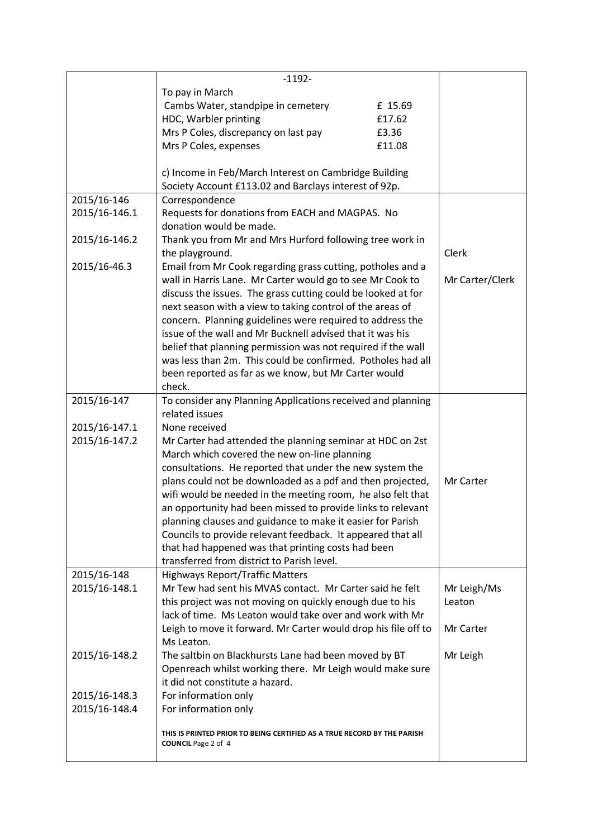|               | $-1192-$                                                                |         |                 |
|---------------|-------------------------------------------------------------------------|---------|-----------------|
|               | To pay in March                                                         |         |                 |
|               | Cambs Water, standpipe in cemetery                                      | £ 15.69 |                 |
|               | HDC, Warbler printing                                                   | £17.62  |                 |
|               | Mrs P Coles, discrepancy on last pay                                    | £3.36   |                 |
|               |                                                                         |         |                 |
|               | Mrs P Coles, expenses                                                   | £11.08  |                 |
|               |                                                                         |         |                 |
|               | c) Income in Feb/March Interest on Cambridge Building                   |         |                 |
|               | Society Account £113.02 and Barclays interest of 92p.                   |         |                 |
| 2015/16-146   | Correspondence                                                          |         |                 |
| 2015/16-146.1 | Requests for donations from EACH and MAGPAS. No                         |         |                 |
|               | donation would be made.                                                 |         |                 |
| 2015/16-146.2 | Thank you from Mr and Mrs Hurford following tree work in                |         |                 |
|               | the playground.                                                         |         | Clerk           |
| 2015/16-46.3  | Email from Mr Cook regarding grass cutting, potholes and a              |         |                 |
|               | wall in Harris Lane. Mr Carter would go to see Mr Cook to               |         | Mr Carter/Clerk |
|               | discuss the issues. The grass cutting could be looked at for            |         |                 |
|               | next season with a view to taking control of the areas of               |         |                 |
|               |                                                                         |         |                 |
|               | concern. Planning guidelines were required to address the               |         |                 |
|               | issue of the wall and Mr Bucknell advised that it was his               |         |                 |
|               | belief that planning permission was not required if the wall            |         |                 |
|               | was less than 2m. This could be confirmed. Potholes had all             |         |                 |
|               | been reported as far as we know, but Mr Carter would                    |         |                 |
|               | check.                                                                  |         |                 |
| 2015/16-147   | To consider any Planning Applications received and planning             |         |                 |
|               | related issues                                                          |         |                 |
| 2015/16-147.1 | None received                                                           |         |                 |
| 2015/16-147.2 | Mr Carter had attended the planning seminar at HDC on 2st               |         |                 |
|               |                                                                         |         |                 |
|               | March which covered the new on-line planning                            |         |                 |
|               | consultations. He reported that under the new system the                |         |                 |
|               | plans could not be downloaded as a pdf and then projected,              |         | Mr Carter       |
|               | wifi would be needed in the meeting room, he also felt that             |         |                 |
|               | an opportunity had been missed to provide links to relevant             |         |                 |
|               | planning clauses and guidance to make it easier for Parish              |         |                 |
|               | Councils to provide relevant feedback. It appeared that all             |         |                 |
|               | that had happened was that printing costs had been                      |         |                 |
|               | transferred from district to Parish level.                              |         |                 |
| 2015/16-148   | <b>Highways Report/Traffic Matters</b>                                  |         |                 |
| 2015/16-148.1 | Mr Tew had sent his MVAS contact. Mr Carter said he felt                |         | Mr Leigh/Ms     |
|               | this project was not moving on quickly enough due to his                |         | Leaton          |
|               | lack of time. Ms Leaton would take over and work with Mr                |         |                 |
|               |                                                                         |         | Mr Carter       |
|               | Leigh to move it forward. Mr Carter would drop his file off to          |         |                 |
|               | Ms Leaton.                                                              |         |                 |
| 2015/16-148.2 | The saltbin on Blackhursts Lane had been moved by BT                    |         | Mr Leigh        |
|               | Openreach whilst working there. Mr Leigh would make sure                |         |                 |
|               | it did not constitute a hazard.                                         |         |                 |
| 2015/16-148.3 | For information only                                                    |         |                 |
| 2015/16-148.4 | For information only                                                    |         |                 |
|               |                                                                         |         |                 |
|               | THIS IS PRINTED PRIOR TO BEING CERTIFIED AS A TRUE RECORD BY THE PARISH |         |                 |
|               | <b>COUNCIL Page 2 of 4</b>                                              |         |                 |
|               |                                                                         |         |                 |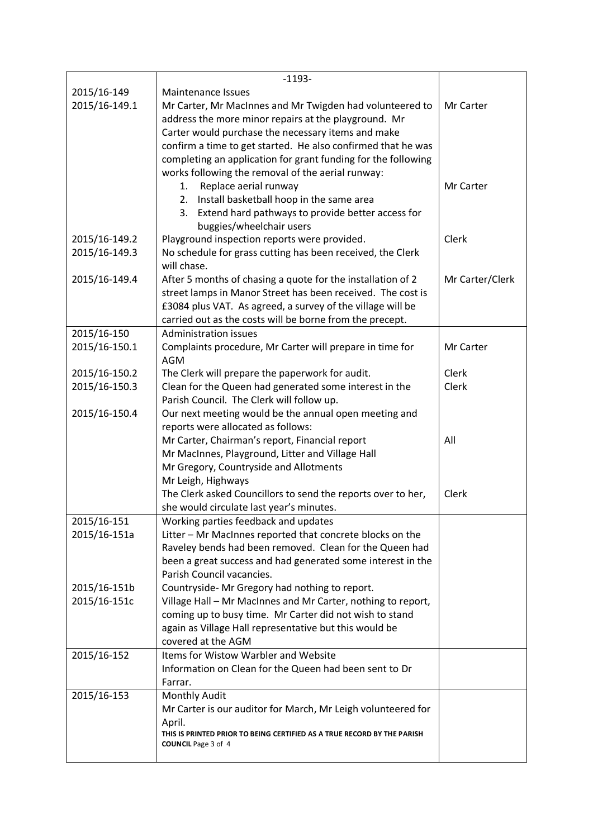|               | $-1193-$                                                                          |                 |
|---------------|-----------------------------------------------------------------------------------|-----------------|
| 2015/16-149   | <b>Maintenance Issues</b>                                                         |                 |
| 2015/16-149.1 | Mr Carter, Mr MacInnes and Mr Twigden had volunteered to                          | Mr Carter       |
|               | address the more minor repairs at the playground. Mr                              |                 |
|               | Carter would purchase the necessary items and make                                |                 |
|               | confirm a time to get started. He also confirmed that he was                      |                 |
|               | completing an application for grant funding for the following                     |                 |
|               | works following the removal of the aerial runway:                                 |                 |
|               | Replace aerial runway<br>1.                                                       | Mr Carter       |
|               | 2. Install basketball hoop in the same area                                       |                 |
|               | 3.<br>Extend hard pathways to provide better access for                           |                 |
|               | buggies/wheelchair users                                                          |                 |
| 2015/16-149.2 | Playground inspection reports were provided.                                      | Clerk           |
| 2015/16-149.3 | No schedule for grass cutting has been received, the Clerk                        |                 |
|               | will chase.                                                                       |                 |
| 2015/16-149.4 | After 5 months of chasing a quote for the installation of 2                       | Mr Carter/Clerk |
|               | street lamps in Manor Street has been received. The cost is                       |                 |
|               | £3084 plus VAT. As agreed, a survey of the village will be                        |                 |
|               | carried out as the costs will be borne from the precept.                          |                 |
| 2015/16-150   | <b>Administration issues</b>                                                      |                 |
| 2015/16-150.1 | Complaints procedure, Mr Carter will prepare in time for                          | Mr Carter       |
|               | <b>AGM</b>                                                                        |                 |
| 2015/16-150.2 | The Clerk will prepare the paperwork for audit.                                   | Clerk           |
| 2015/16-150.3 | Clean for the Queen had generated some interest in the                            | Clerk           |
|               | Parish Council. The Clerk will follow up.                                         |                 |
| 2015/16-150.4 | Our next meeting would be the annual open meeting and                             |                 |
|               | reports were allocated as follows:                                                |                 |
|               | Mr Carter, Chairman's report, Financial report                                    | All             |
|               | Mr MacInnes, Playground, Litter and Village Hall                                  |                 |
|               | Mr Gregory, Countryside and Allotments                                            |                 |
|               | Mr Leigh, Highways                                                                |                 |
|               | The Clerk asked Councillors to send the reports over to her,                      | Clerk           |
|               | she would circulate last year's minutes.                                          |                 |
| 2015/16-151   | Working parties feedback and updates                                              |                 |
| 2015/16-151a  | Litter - Mr MacInnes reported that concrete blocks on the                         |                 |
|               | Raveley bends had been removed. Clean for the Queen had                           |                 |
|               | been a great success and had generated some interest in the                       |                 |
|               | Parish Council vacancies.                                                         |                 |
| 2015/16-151b  | Countryside-Mr Gregory had nothing to report.                                     |                 |
| 2015/16-151c  | Village Hall - Mr MacInnes and Mr Carter, nothing to report,                      |                 |
|               | coming up to busy time. Mr Carter did not wish to stand                           |                 |
|               | again as Village Hall representative but this would be                            |                 |
|               | covered at the AGM                                                                |                 |
| 2015/16-152   | Items for Wistow Warbler and Website                                              |                 |
|               | Information on Clean for the Queen had been sent to Dr                            |                 |
|               | Farrar.                                                                           |                 |
| 2015/16-153   | Monthly Audit                                                                     |                 |
|               | Mr Carter is our auditor for March, Mr Leigh volunteered for                      |                 |
|               | April.<br>THIS IS PRINTED PRIOR TO BEING CERTIFIED AS A TRUE RECORD BY THE PARISH |                 |
|               | <b>COUNCIL Page 3 of 4</b>                                                        |                 |
|               |                                                                                   |                 |